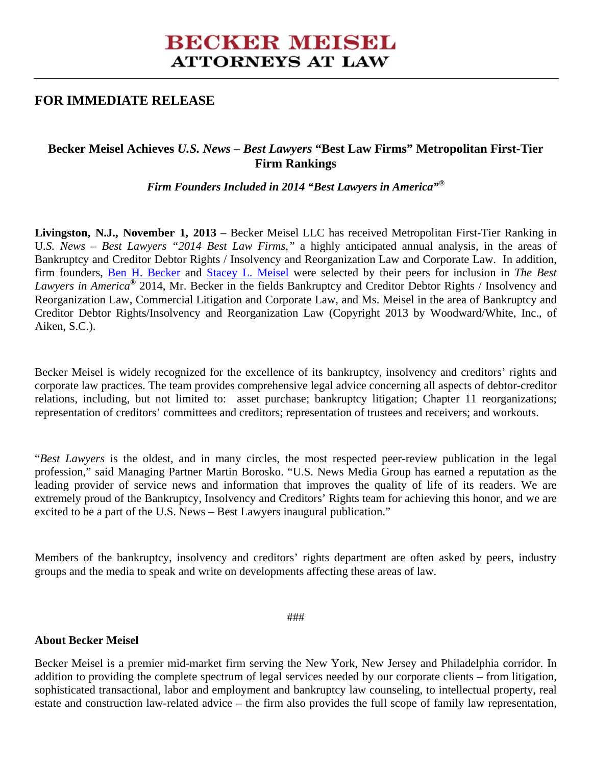# **BECKER MEISEL ATTORNEYS AT LAW**

## **FOR IMMEDIATE RELEASE**

## **Becker Meisel Achieves** *U.S. News – Best Lawyers* **"Best Law Firms" Metropolitan First-Tier Firm Rankings**

*Firm Founders Included in 2014 "Best Lawyers in America"®*

**Livingston, N.J., November 1, 2013** – Becker Meisel LLC has received Metropolitan First-Tier Ranking in U*.S. News – Best Lawyers "2014 Best Law Firms,"* a highly anticipated annual analysis, in the areas of Bankruptcy and Creditor Debtor Rights / Insolvency and Reorganization Law and Corporate Law. In addition, firm founders, Ben H. Becker and Stacey L. Meisel were selected by their peers for inclusion in *The Best Lawyers in America®* 2014, Mr. Becker in the fields Bankruptcy and Creditor Debtor Rights / Insolvency and Reorganization Law, Commercial Litigation and Corporate Law, and Ms. Meisel in the area of Bankruptcy and Creditor Debtor Rights/Insolvency and Reorganization Law (Copyright 2013 by Woodward/White, Inc., of Aiken, S.C.).

Becker Meisel is widely recognized for the excellence of its bankruptcy, insolvency and creditors' rights and corporate law practices. The team provides comprehensive legal advice concerning all aspects of debtor-creditor relations, including, but not limited to: asset purchase; bankruptcy litigation; Chapter 11 reorganizations; representation of creditors' committees and creditors; representation of trustees and receivers; and workouts.

"*Best Lawyers* is the oldest, and in many circles, the most respected peer-review publication in the legal profession," said Managing Partner Martin Borosko. "U.S. News Media Group has earned a reputation as the leading provider of service news and information that improves the quality of life of its readers. We are extremely proud of the Bankruptcy, Insolvency and Creditors' Rights team for achieving this honor, and we are excited to be a part of the U.S. News – Best Lawyers inaugural publication."

Members of the bankruptcy, insolvency and creditors' rights department are often asked by peers, industry groups and the media to speak and write on developments affecting these areas of law.

###

#### **About Becker Meisel**

Becker Meisel is a premier mid-market firm serving the New York, New Jersey and Philadelphia corridor. In addition to providing the complete spectrum of legal services needed by our corporate clients – from litigation, sophisticated transactional, labor and employment and bankruptcy law counseling, to intellectual property, real estate and construction law-related advice – the firm also provides the full scope of family law representation,